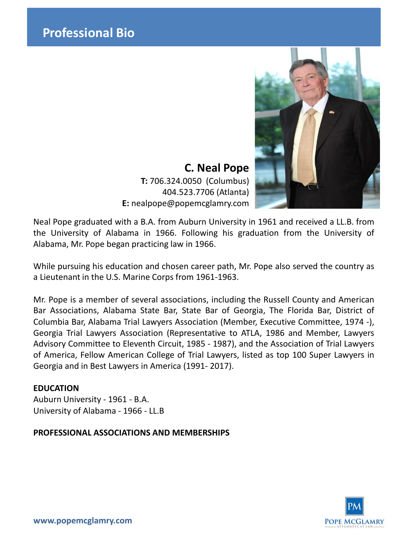

**C. Neal Pope T:** 706.324.0050 (Columbus) 404.523.7706 (Atlanta) **E:** nealpope@popemcglamry.com

Neal Pope graduated with a B.A. from Auburn University in 1961 and received a LL.B. from the University of Alabama in 1966. Following his graduation from the University of Alabama, Mr. Pope began practicing law in 1966.

While pursuing his education and chosen career path, Mr. Pope also served the country as a Lieutenant in the U.S. Marine Corps from 1961-1963.

Mr. Pope is a member of several associations, including the Russell County and American Bar Associations, Alabama State Bar, State Bar of Georgia, The Florida Bar, District of Columbia Bar, Alabama Trial Lawyers Association (Member, Executive Committee, 1974 -), Georgia Trial Lawyers Association (Representative to ATLA, 1986 and Member, Lawyers Advisory Committee to Eleventh Circuit, 1985 - 1987), and the Association of Trial Lawyers of America, Fellow American College of Trial Lawyers, listed as top 100 Super Lawyers in Georgia and in Best Lawyers in America (1991- 2017).

## **EDUCATION**

Auburn University - 1961 - B.A. University of Alabama - 1966 - LL.B

**PROFESSIONAL ASSOCIATIONS AND MEMBERSHIPS**



**www.popemcglamry.com**